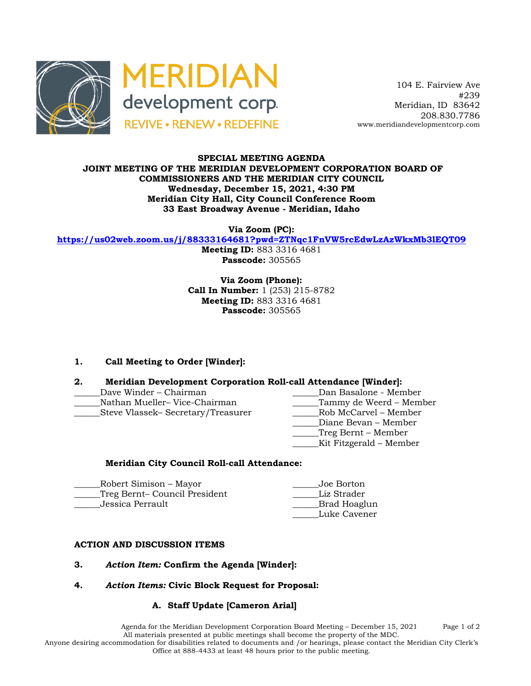



 104 E. Fairview Ave #239 Meridian, ID 83642 208.830.7786 www.meridiandevelopmentcorp.com

### **SPECIAL MEETING AGENDA JOINT MEETING OF THE MERIDIAN DEVELOPMENT CORPORATION BOARD OF COMMISSIONERS AND THE MERIDIAN CITY COUNCIL Wednesday, December 15, 2021, 4:30 PM Meridian City Hall, City Council Conference Room 33 East Broadway Avenue - Meridian, Idaho**

**Via Zoom (PC):**

**https://us02web.zoom.us/j/88333164681?pwd=ZTNqc1FnVW5rcEdwLzAzWkxMb3lEQT09**

**Meeting ID:** 883 3316 4681 **Passcode:** 305565

**Via Zoom (Phone): Call In Number:** 1 (253) 215-8782 **Meeting ID:** 883 3316 4681 **Passcode:** 305565

# **1. Call Meeting to Order [Winder]:**

## **2. Meridian Development Corporation Roll-call Attendance [Winder]:**

- Dave Winder Chairman and Dan Basalone Member \_\_\_\_\_\_Nathan Mueller– Vice-Chairman \_\_\_\_\_\_Tammy de Weerd – Member
- \_\_\_\_\_\_Steve Vlassek– Secretary/Treasurer \_\_\_\_\_\_Rob McCarvel Member Diane Bevan – Member
	- \_\_\_\_\_\_Treg Bernt Member
	- \_\_\_\_\_\_Kit Fitzgerald Member

#### **Meridian City Council Roll-call Attendance:**

| Robert Simison – Mayor        | Joe Borton    |
|-------------------------------|---------------|
| Treg Bernt– Council President | Liz Strader   |
| Jessica Perrault              | Brad Hoaglun_ |
|                               | Luke Cavener  |

#### **ACTION AND DISCUSSION ITEMS**

- **3.** *Action Item:* **Confirm the Agenda [Winder]:**
- **4.** *Action Items:* **Civic Block Request for Proposal:**

## **A. Staff Update [Cameron Arial]**

Agenda for the Meridian Development Corporation Board Meeting – December 15, 2021 Page 1 of 2 All materials presented at public meetings shall become the property of the MDC.

Anyone desiring accommodation for disabilities related to documents and /or hearings, please contact the Meridian City Clerk's Office at 888-4433 at least 48 hours prior to the public meeting.